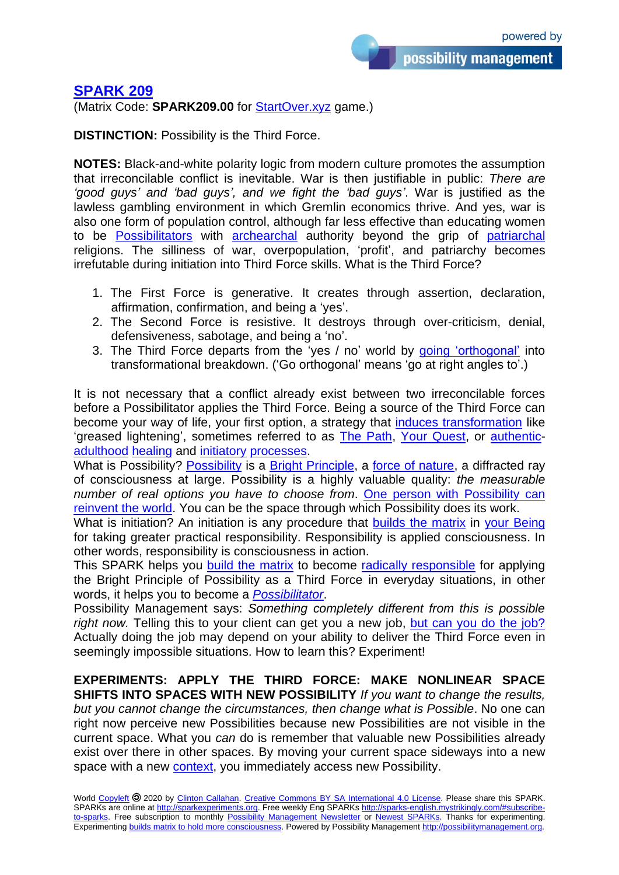possibility management

## **[SPARK 209](http://sparks-english.mystrikingly.com/)**

(Matrix Code: **SPARK209.00** for [StartOver.xyz](http://startoverxyz.mystrikingly.com/) game.)

**DISTINCTION:** Possibility is the Third Force.

**NOTES:** Black-and-white polarity logic from modern culture promotes the assumption that irreconcilable conflict is inevitable. War is then justifiable in public: *There are 'good guys' and 'bad guys', and we fight the 'bad guys'*. War is justified as the lawless gambling environment in which Gremlin economics thrive. And yes, war is also one form of population control, although far less effective than educating women to be [Possibilitators](http://possibilitatortraining.mystrikingly.com/) with **[archearchal](http://archearchy.mystrikingly.com/)** authority beyond the grip of [patriarchal](http://patriarchy.mystrikingly.com/) religions. The silliness of war, overpopulation, 'profit', and patriarchy becomes irrefutable during initiation into Third Force skills. What is the Third Force?

- 1. The First Force is generative. It creates through assertion, declaration, affirmation, confirmation, and being a 'yes'.
- 2. The Second Force is resistive. It destroys through over-criticism, denial, defensiveness, sabotage, and being a 'no'.
- 3. The Third Force departs from the 'yes / no' world by [going 'orthogonal'](http://gononlinear.mystrikingly.com/) into transformational breakdown. ('Go orthogonal' means 'go at right angles to'.)

It is not necessary that a conflict already exist between two irreconcilable forces before a Possibilitator applies the Third Force. Being a source of the Third Force can become your way of life, your first option, a strategy that induces [transformation](http://causetransformation.mystrikingly.com/) like 'greased lightening', sometimes referred to as **The Path, Your Quest**, or **authentic**[adulthood](http://adulthood.mystrikingly.com/) [healing](http://3phasehealing.mystrikingly.com/) and [initiatory](http://initiations.mystrikingly.com/) [processes.](http://process.mystrikingly.com/)

What is [Possibility](http://possibility.mystrikingly.com/)? Possibility is a [Bright Principle,](http://brightprinciples.mystrikingly.com/) a [force of nature,](https://www.goodreads.com/quotes/939607-this-is-the-true-joy-of-life-the-being-used) a diffracted ray of consciousness at large. Possibility is a highly valuable quality: *the measurable number of real options you have to choose from*. [One person with Possibility can](http://sparks.nextculture.org/res/sparks/Spark-046-en.pdf)  [reinvent](http://sparks.nextculture.org/res/sparks/Spark-046-en.pdf) the world. You can be the space through which Possibility does its work.

What is initiation? An initiation is any procedure that [builds the matrix](http://buildmatrix.mystrikingly.com/) in [your Being](http://yourbeing.mystrikingly.com/) for taking greater practical responsibility. Responsibility is applied consciousness. In other words, responsibility is consciousness in action.

This SPARK helps you **[build the matrix](http://buildmatrix.mystrikingly.com/)** to become radically [responsible](http://radicalresponsibility.mystrikingly.com/) for applying the Bright Principle of Possibility as a Third Force in everyday situations, in other words, it helps you to become a *[Possibilitator](http://possibilitators.mystrikingly.com/)*.

Possibility Management says: *Something completely different from this is possible*  right now. Telling this to your client can get you a new job, [but can you do the job?](https://www.imdb.com/title/tt0099892/) Actually doing the job may depend on your ability to deliver the Third Force even in seemingly impossible situations. How to learn this? Experiment!

**EXPERIMENTS: APPLY THE THIRD FORCE: MAKE NONLINEAR SPACE SHIFTS INTO SPACES WITH NEW POSSIBILITY** *If you want to change the results, but you cannot change the circumstances, then change what is Possible*. No one can right now perceive new Possibilities because new Possibilities are not visible in the current space. What you *can* do is remember that valuable new Possibilities already exist over there in other spaces. By moving your current space sideways into a new space with a new [context,](http://setcontext.mystrikingly.com/) you immediately access new Possibility.